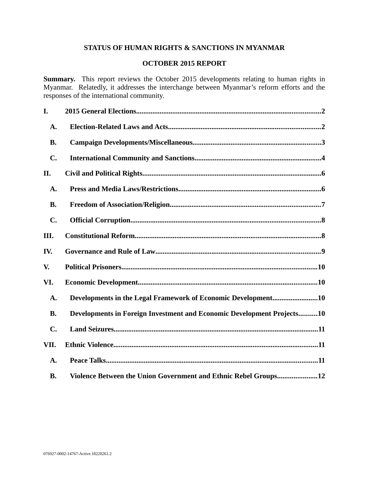# **STATUS OF HUMAN RIGHTS & SANCTIONS IN MYANMAR**

## **OCTOBER 2015 REPORT**

**Summary.** This report reviews the October 2015 developments relating to human rights in Myanmar. Relatedly, it addresses the interchange between Myanmar's reform efforts and the responses of the international community.

| I.             |                                                                        |
|----------------|------------------------------------------------------------------------|
| A.             |                                                                        |
| <b>B.</b>      |                                                                        |
| $\mathbf{C}$ . |                                                                        |
| II.            |                                                                        |
| A.             |                                                                        |
| <b>B.</b>      |                                                                        |
| $\mathbf{C}$ . |                                                                        |
| III.           |                                                                        |
| IV.            |                                                                        |
| V.             |                                                                        |
| VI.            |                                                                        |
| A.             | Developments in the Legal Framework of Economic Development10          |
| <b>B.</b>      | Developments in Foreign Investment and Economic Development Projects10 |
| $\mathbf{C}$ . |                                                                        |
| VII.           |                                                                        |
| A.             |                                                                        |
| <b>B.</b>      | Violence Between the Union Government and Ethnic Rebel Groups12        |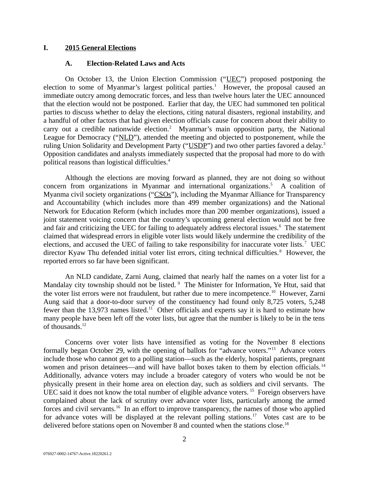### **I. 2015 General Elections**

### <span id="page-1-1"></span><span id="page-1-0"></span>**A. Election-Related Laws and Acts**

On October 13, the Union Election Commission ("UEC") proposed postponing the election to some of Myanmar's largest political parties.<sup>1</sup> However, the proposal caused an immediate outcry among democratic forces, and less than twelve hours later the UEC announced that the election would not be postponed. Earlier that day, the UEC had summoned ten political parties to discuss whether to delay the elections, citing natural disasters, regional instability, and a handful of other factors that had given election officials cause for concern about their ability to carry out a credible nationwide election.<sup>2</sup> Myanmar's main opposition party, the National League for Democracy ("NLD"), attended the meeting and objected to postponement, while the ruling Union Solidarity and Development Party ("USDP") and two other parties favored a delay.<sup>3</sup> Opposition candidates and analysts immediately suspected that the proposal had more to do with political reasons than logistical difficulties.<sup>4</sup>

Although the elections are moving forward as planned, they are not doing so without concern from organizations in Myanmar and international organizations.<sup>5</sup> A coalition of Myanma civil society organizations ("CSOs"), including the Myanmar Alliance for Transparency and Accountability (which includes more than 499 member organizations) and the National Network for Education Reform (which includes more than 200 member organizations), issued a joint statement voicing concern that the country's upcoming general election would not be free and fair and criticizing the UEC for failing to adequately address electoral issues.<sup>6</sup> The statement claimed that widespread errors in eligible voter lists would likely undermine the credibility of the elections, and accused the UEC of failing to take responsibility for inaccurate voter lists.<sup>7</sup> UEC director Kyaw Thu defended initial voter list errors, citing technical difficulties.<sup>8</sup> However, the reported errors so far have been significant.

An NLD candidate, Zarni Aung, claimed that nearly half the names on a voter list for a Mandalay city township should not be listed. <sup>9</sup> The Minister for Information, Ye Htut, said that the voter list errors were not fraudulent, but rather due to mere incompetence.<sup>10</sup> However, Zarni Aung said that a door-to-door survey of the constituency had found only 8,725 voters, 5,248 fewer than the 13,973 names listed.<sup>11</sup> Other officials and experts say it is hard to estimate how many people have been left off the voter lists, but agree that the number is likely to be in the tens of thousands.<sup>12</sup>

Concerns over voter lists have intensified as voting for the November 8 elections formally began October 29, with the opening of ballots for "advance voters."<sup>13</sup> Advance voters include those who cannot get to a polling station—such as the elderly, hospital patients, pregnant women and prison detainees—and will have ballot boxes taken to them by election officials.<sup>14</sup> Additionally, advance voters may include a broader category of voters who would be not be physically present in their home area on election day, such as soldiers and civil servants. The UEC said it does not know the total number of eligible advance voters.<sup>15</sup> Foreign observers have complained about the lack of scrutiny over advance voter lists, particularly among the armed forces and civil servants.<sup>16</sup> In an effort to improve transparency, the names of those who applied for advance votes will be displayed at the relevant polling stations.<sup>17</sup> Votes cast are to be delivered before stations open on November 8 and counted when the stations close.<sup>18</sup>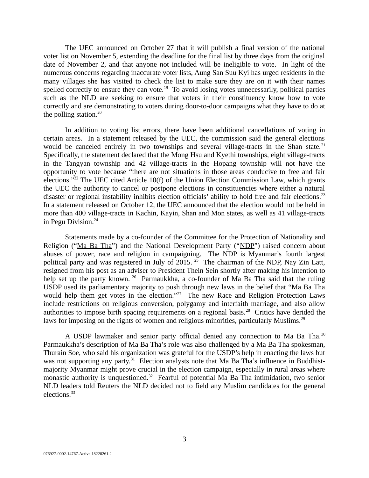The UEC announced on October 27 that it will publish a final version of the national voter list on November 5, extending the deadline for the final list by three days from the original date of November 2, and that anyone not included will be ineligible to vote. In light of the numerous concerns regarding inaccurate voter lists, Aung San Suu Kyi has urged residents in the many villages she has visited to check the list to make sure they are on it with their names spelled correctly to ensure they can vote.<sup>19</sup> To avoid losing votes unnecessarily, political parties such as the NLD are seeking to ensure that voters in their constituency know how to vote correctly and are demonstrating to voters during door-to-door campaigns what they have to do at the polling station. $^{20}$ 

In addition to voting list errors, there have been additional cancellations of voting in certain areas. In a statement released by the UEC, the commission said the general elections would be canceled entirely in two townships and several village-tracts in the Shan state.<sup>21</sup> Specifically, the statement declared that the Mong Hsu and Kyethi townships, eight village-tracts in the Tangyan township and 42 village-tracts in the Hopang township will not have the opportunity to vote because "there are not situations in those areas conducive to free and fair elections."<sup>22</sup> The UEC cited Article 10(f) of the Union Election Commission Law, which grants the UEC the authority to cancel or postpone elections in constituencies where either a natural disaster or regional instability inhibits election officials' ability to hold free and fair elections.<sup>23</sup> In a statement released on October 12, the UEC announced that the election would not be held in more than 400 village-tracts in Kachin, Kayin, Shan and Mon states, as well as 41 village-tracts in Pegu Division.<sup>24</sup>

Statements made by a co-founder of the Committee for the Protection of Nationality and Religion ("Ma Ba Tha") and the National Development Party ("NDP") raised concern about abuses of power, race and religion in campaigning. The NDP is Myanmar's fourth largest political party and was registered in July of 2015. <sup>25</sup> The chairman of the NDP, Nay Zin Latt, resigned from his post as an adviser to President Thein Sein shortly after making his intention to help set up the party known. <sup>26</sup> Parmaukkha, a co-founder of Ma Ba Tha said that the ruling USDP used its parliamentary majority to push through new laws in the belief that "Ma Ba Tha would help them get votes in the election."<sup>27</sup> The new Race and Religion Protection Laws include restrictions on religious conversion, polygamy and interfaith marriage, and also allow authorities to impose birth spacing requirements on a regional basis.<sup>28</sup> Critics have derided the laws for imposing on the rights of women and religious minorities, particularly Muslims.<sup>29</sup>

A USDP lawmaker and senior party official denied any connection to Ma Ba Tha.<sup>30</sup> Parmaukkha's description of Ma Ba Tha's role was also challenged by a Ma Ba Tha spokesman, Thurain Soe, who said his organization was grateful for the USDP's help in enacting the laws but was not supporting any party.<sup>31</sup> Election analysts note that Ma Ba Tha's influence in Buddhistmajority Myanmar might prove crucial in the election campaign, especially in rural areas where monastic authority is unquestioned.<sup>32</sup> Fearful of potential Ma Ba Tha intimidation, two senior NLD leaders told Reuters the NLD decided not to field any Muslim candidates for the general elections.<sup>33</sup>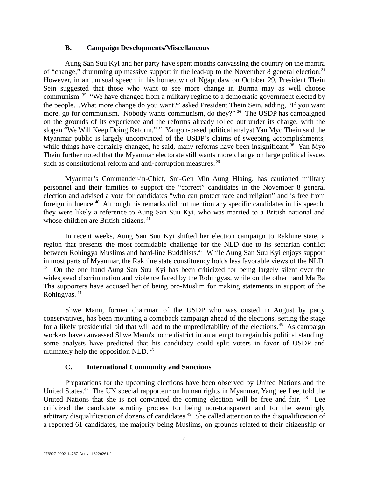### <span id="page-3-1"></span>**B. Campaign Developments/Miscellaneous**

Aung San Suu Kyi and her party have spent months canvassing the country on the mantra of "change," drumming up massive support in the lead-up to the November 8 general election.<sup>34</sup> However, in an unusual speech in his hometown of Ngapudaw on October 29, President Thein Sein suggested that those who want to see more change in Burma may as well choose communism.<sup>35</sup> "We have changed from a military regime to a democratic government elected by the people…What more change do you want?" asked President Thein Sein, adding, "If you want more, go for communism. Nobody wants communism, do they?" <sup>36</sup> The USDP has campaigned on the grounds of its experience and the reforms already rolled out under its charge, with the slogan "We Will Keep Doing Reform." <sup>37</sup> Yangon-based political analyst Yan Myo Thein said the Myanmar public is largely unconvinced of the USDP's claims of sweeping accomplishments; while things have certainly changed, he said, many reforms have been insignificant.<sup>38</sup> Yan Myo Thein further noted that the Myanmar electorate still wants more change on large political issues such as constitutional reform and anti-corruption measures.<sup>39</sup>

Myanmar's Commander-in-Chief, Snr-Gen Min Aung Hlaing, has cautioned military personnel and their families to support the "correct" candidates in the November 8 general election and advised a vote for candidates "who can protect race and religion" and is free from foreign influence.<sup>40</sup> Although his remarks did not mention any specific candidates in his speech, they were likely a reference to Aung San Suu Kyi, who was married to a British national and whose children are British citizens.<sup>41</sup>

In recent weeks, Aung San Suu Kyi shifted her election campaign to Rakhine state, a region that presents the most formidable challenge for the NLD due to its sectarian conflict between Rohingya Muslims and hard-line Buddhists.<sup>42</sup> While Aung San Suu Kyi enjoys support in most parts of Myanmar, the Rakhine state constituency holds less favorable views of the NLD. <sup>43</sup> On the one hand Aung San Suu Kyi has been criticized for being largely silent over the widespread discrimination and violence faced by the Rohingyas, while on the other hand Ma Ba Tha supporters have accused her of being pro-Muslim for making statements in support of the Rohingyas. <sup>44</sup>

Shwe Mann, former chairman of the USDP who was ousted in August by party conservatives, has been mounting a comeback campaign ahead of the elections, setting the stage for a likely presidential bid that will add to the unpredictability of the elections.<sup>45</sup> As campaign workers have canvassed Shwe Mann's home district in an attempt to regain his political standing, some analysts have predicted that his candidacy could split voters in favor of USDP and ultimately help the opposition NLD. <sup>46</sup>

# <span id="page-3-0"></span>**C. International Community and Sanctions**

Preparations for the upcoming elections have been observed by United Nations and the United States.<sup>47</sup> The UN special rapporteur on human rights in Myanmar, Yanghee Lee, told the United Nations that she is not convinced the coming election will be free and fair. <sup>48</sup> Lee criticized the candidate scrutiny process for being non-transparent and for the seemingly arbitrary disqualification of dozens of candidates.<sup>49</sup> She called attention to the disqualification of a reported 61 candidates, the majority being Muslims, on grounds related to their citizenship or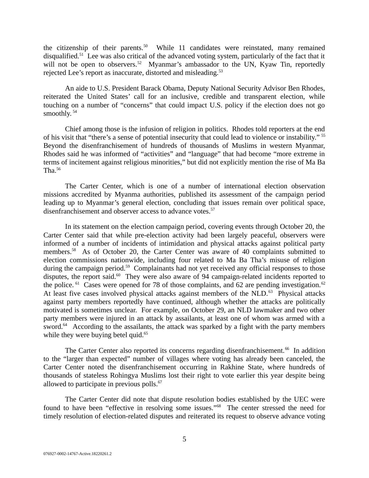the citizenship of their parents. $50$  While 11 candidates were reinstated, many remained disqualified.<sup>51</sup> Lee was also critical of the advanced voting system, particularly of the fact that it will not be open to observers.<sup>52</sup> Myanmar's ambassador to the UN, Kyaw Tin, reportedly rejected Lee's report as inaccurate, distorted and misleading.<sup>53</sup>

An aide to U.S. President Barack Obama, Deputy National Security Advisor Ben Rhodes, reiterated the United States' call for an inclusive, credible and transparent election, while touching on a number of "concerns" that could impact U.S. policy if the election does not go smoothly. <sup>54</sup>

Chief among those is the infusion of religion in politics. Rhodes told reporters at the end of his visit that "there's a sense of potential insecurity that could lead to violence or instability." <sup>55</sup> Beyond the disenfranchisement of hundreds of thousands of Muslims in western Myanmar, Rhodes said he was informed of "activities" and "language" that had become "more extreme in terms of incitement against religious minorities," but did not explicitly mention the rise of Ma Ba Tha. $56$ 

The Carter Center, which is one of a number of international election observation missions accredited by Myanma authorities, published its assessment of the campaign period leading up to Myanmar's general election, concluding that issues remain over political space, disenfranchisement and observer access to advance votes.<sup>57</sup>

In its statement on the election campaign period, covering events through October 20, the Carter Center said that while pre-election activity had been largely peaceful, observers were informed of a number of incidents of intimidation and physical attacks against political party members.<sup>58</sup> As of October 20, the Carter Center was aware of 40 complaints submitted to election commissions nationwide, including four related to Ma Ba Tha's misuse of religion during the campaign period.<sup>59</sup> Complainants had not yet received any official responses to those disputes, the report said.<sup>60</sup> They were also aware of 94 campaign-related incidents reported to the police.  $61$  Cases were opened for 78 of those complaints, and 62 are pending investigation.  $62$ At least five cases involved physical attacks against members of the NLD.<sup>63</sup> Physical attacks against party members reportedly have continued, although whether the attacks are politically motivated is sometimes unclear. For example, on October 29, an NLD lawmaker and two other party members were injured in an attack by assailants, at least one of whom was armed with a sword. $64$  According to the assailants, the attack was sparked by a fight with the party members while they were buying betel quid.<sup>65</sup>

The Carter Center also reported its concerns regarding disenfranchisement.<sup>66</sup> In addition to the "larger than expected" number of villages where voting has already been canceled, the Carter Center noted the disenfranchisement occurring in Rakhine State, where hundreds of thousands of stateless Rohingya Muslims lost their right to vote earlier this year despite being allowed to participate in previous polls. $67$ 

The Carter Center did note that dispute resolution bodies established by the UEC were found to have been "effective in resolving some issues."<sup>68</sup> The center stressed the need for timely resolution of election-related disputes and reiterated its request to observe advance voting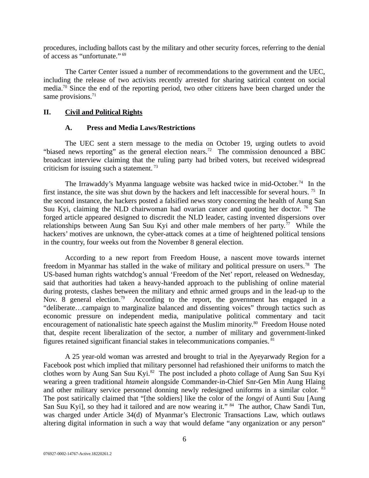procedures, including ballots cast by the military and other security forces, referring to the denial of access as "unfortunate." <sup>69</sup>

The Carter Center issued a number of recommendations to the government and the UEC, including the release of two activists recently arrested for sharing satirical content on social media.<sup>70</sup> Since the end of the reporting period, two other citizens have been charged under the same provisions.<sup>71</sup>

### **II. Civil and Political Rights**

#### <span id="page-5-1"></span><span id="page-5-0"></span>**A. Press and Media Laws/Restrictions**

The UEC sent a stern message to the media on October 19, urging outlets to avoid "biased news reporting" as the general election nears.<sup>72</sup> The commission denounced a BBC broadcast interview claiming that the ruling party had bribed voters, but received widespread criticism for issuing such a statement.<sup>73</sup>

The Irrawaddy's Myanma language website was hacked twice in mid-October.<sup>74</sup> In the first instance, the site was shut down by the hackers and left inaccessible for several hours.<sup>75</sup> In the second instance, the hackers posted a falsified news story concerning the health of Aung San Suu Kyi, claiming the NLD chairwoman had ovarian cancer and quoting her doctor.  $76$  The forged article appeared designed to discredit the NLD leader, casting invented dispersions over relationships between Aung San Suu Kyi and other male members of her party.<sup>77</sup> While the hackers' motives are unknown, the cyber-attack comes at a time of heightened political tensions in the country, four weeks out from the November 8 general election.

According to a new report from Freedom House, a nascent move towards internet freedom in Myanmar has stalled in the wake of military and political pressure on users.<sup>78</sup> The US-based human rights watchdog's annual 'Freedom of the Net' report, released on Wednesday, said that authorities had taken a heavy-handed approach to the publishing of online material during protests, clashes between the military and ethnic armed groups and in the lead-up to the Nov. 8 general election.<sup>79</sup> According to the report, the government has engaged in a "deliberate…campaign to marginalize balanced and dissenting voices" through tactics such as economic pressure on independent media, manipulative political commentary and tacit encouragement of nationalistic hate speech against the Muslim minority.<sup>80</sup> Freedom House noted that, despite recent liberalization of the sector, a number of military and government-linked figures retained significant financial stakes in telecommunications companies. <sup>81</sup>

A 25 year-old woman was arrested and brought to trial in the Ayeyarwady Region for a Facebook post which implied that military personnel had refashioned their uniforms to match the clothes worn by Aung San Suu Kyi.<sup>82</sup> The post included a photo collage of Aung San Suu Kyi wearing a green traditional *htamein* alongside Commander-in-Chief Snr-Gen Min Aung Hlaing and other military service personnel donning newly redesigned uniforms in a similar color. <sup>83</sup> The post satirically claimed that "[the soldiers] like the color of the *longyi* of Aunti Suu [Aung San Suu Kyi], so they had it tailored and are now wearing it." 84 The author, Chaw Sandi Tun, was charged under Article 34(d) of Myanmar's Electronic Transactions Law, which outlaws altering digital information in such a way that would defame "any organization or any person"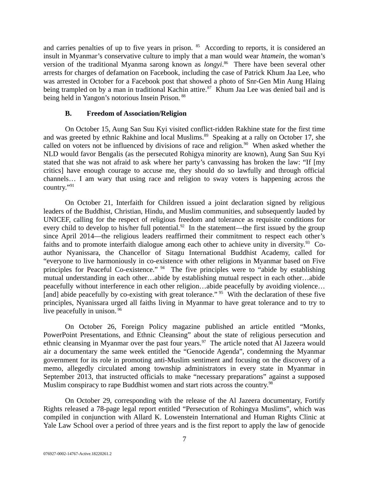and carries penalties of up to five years in prison. <sup>85</sup> According to reports, it is considered an insult in Myanmar's conservative culture to imply that a man would wear *htamein*, the woman's version of the traditional Myanma sarong known as *longyi*. <sup>86</sup> There have been several other arrests for charges of defamation on Facebook, including the case of Patrick Khum Jaa Lee, who was arrested in October for a Facebook post that showed a photo of Snr-Gen Min Aung Hlaing being trampled on by a man in traditional Kachin attire.<sup>87</sup> Khum Jaa Lee was denied bail and is being held in Yangon's notorious Insein Prison.<sup>88</sup>

### <span id="page-6-0"></span>**B. Freedom of Association/Religion**

On October 15, Aung San Suu Kyi visited conflict-ridden Rakhine state for the first time and was greeted by ethnic Rakhine and local Muslims.<sup>89</sup> Speaking at a rally on October 17, she called on voters not be influenced by divisions of race and religion. $90$  When asked whether the NLD would favor Bengalis (as the persecuted Rohigya minority are known), Aung San Suu Kyi stated that she was not afraid to ask where her party's canvassing has broken the law: "If [my critics] have enough courage to accuse me, they should do so lawfully and through official channels… I am wary that using race and religion to sway voters is happening across the country."<sup>91</sup>

On October 21, Interfaith for Children issued a joint declaration signed by religious leaders of the Buddhist, Christian, Hindu, and Muslim communities, and subsequently lauded by UNICEF, calling for the respect of religious freedom and tolerance as requisite conditions for every child to develop to his/her full potential.<sup>92</sup> In the statement—the first issued by the group since April 2014—the religious leaders reaffirmed their commitment to respect each other's faiths and to promote interfaith dialogue among each other to achieve unity in diversity.<sup>93</sup> Coauthor Nyanissara, the Chancellor of Sitagu International Buddhist Academy, called for "everyone to live harmoniously in co-existence with other religions in Myanmar based on Five principles for Peaceful Co-existence." <sup>94</sup> The five principles were to "abide by establishing mutual understanding in each other…abide by establishing mutual respect in each other…abide peacefully without interference in each other religion…abide peacefully by avoiding violence… [and] abide peacefully by co-existing with great tolerance." <sup>95</sup> With the declaration of these five principles, Nyanissara urged all faiths living in Myanmar to have great tolerance and to try to live peacefully in unison. <sup>96</sup>

On October 26, Foreign Policy magazine published an article entitled "Monks, PowerPoint Presentations, and Ethnic Cleansing" about the state of religious persecution and ethnic cleansing in Myanmar over the past four years.<sup>97</sup> The article noted that Al Jazeera would air a documentary the same week entitled the "Genocide Agenda", condemning the Myanmar government for its role in promoting anti-Muslim sentiment and focusing on the discovery of a memo, allegedly circulated among township administrators in every state in Myanmar in September 2013, that instructed officials to make "necessary preparations" against a supposed Muslim conspiracy to rape Buddhist women and start riots across the country.<sup>98</sup>

On October 29, corresponding with the release of the Al Jazeera documentary, Fortify Rights released a 78-page legal report entitled "Persecution of Rohingya Muslims", which was compiled in conjunction with Allard K. Lowenstein International and Human Rights Clinic at Yale Law School over a period of three years and is the first report to apply the law of genocide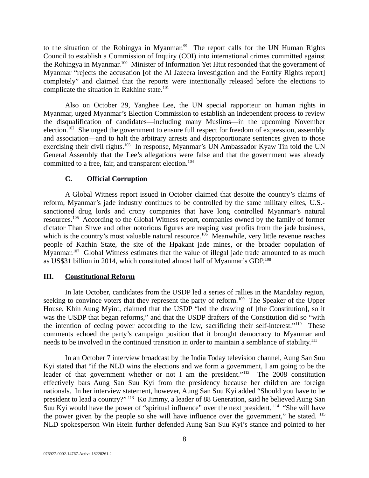to the situation of the Rohingya in Myanmar.<sup>99</sup> The report calls for the UN Human Rights Council to establish a Commission of Inquiry (COI) into international crimes committed against the Rohingya in Myanmar.<sup>100</sup> Minister of Information Yet Htut responded that the government of Myanmar "rejects the accusation [of the Al Jazeera investigation and the Fortify Rights report] completely" and claimed that the reports were intentionally released before the elections to complicate the situation in Rakhine state.<sup>101</sup>

Also on October 29, Yanghee Lee, the UN special rapporteur on human rights in Myanmar, urged Myanmar's Election Commission to establish an independent process to review the disqualification of candidates—including many Muslims—in the upcoming November election.<sup>102</sup> She urged the government to ensure full respect for freedom of expression, assembly and association—and to halt the arbitrary arrests and disproportionate sentences given to those exercising their civil rights.<sup>103</sup> In response, Myanmar's UN Ambassador Kyaw Tin told the UN General Assembly that the Lee's allegations were false and that the government was already committed to a free, fair, and transparent election.<sup>104</sup>

### <span id="page-7-1"></span>**C. Official Corruption**

A Global Witness report issued in October claimed that despite the country's claims of reform, Myanmar's jade industry continues to be controlled by the same military elites, U.S. sanctioned drug lords and crony companies that have long controlled Myanmar's natural resources.<sup>105</sup> According to the Global Witness report, companies owned by the family of former dictator Than Shwe and other notorious figures are reaping vast profits from the jade business, which is the country's most valuable natural resource.<sup>106</sup> Meanwhile, very little revenue reaches people of Kachin State, the site of the Hpakant jade mines, or the broader population of Myanmar.<sup>107</sup> Global Witness estimates that the value of illegal jade trade amounted to as much as US\$31 billion in 2014, which constituted almost half of Myanmar's GDP.<sup>108</sup>

### <span id="page-7-0"></span>**III. Constitutional Reform**

In late October, candidates from the USDP led a series of rallies in the Mandalay region, seeking to convince voters that they represent the party of reform.<sup>109</sup> The Speaker of the Upper House, Khin Aung Myint, claimed that the USDP "led the drawing of [the Constitution], so it was the USDP that began reforms," and that the USDP drafters of the Constitution did so "with the intention of ceding power according to the law, sacrificing their self-interest."<sup>110</sup> These comments echoed the party's campaign position that it brought democracy to Myanmar and needs to be involved in the continued transition in order to maintain a semblance of stability.<sup>111</sup>

In an October 7 interview broadcast by the India Today television channel, Aung San Suu Kyi stated that "if the NLD wins the elections and we form a government, I am going to be the leader of that government whether or not I am the president."<sup>112</sup> The 2008 constitution effectively bars Aung San Suu Kyi from the presidency because her children are foreign nationals. In her interview statement, however, Aung San Suu Kyi added "Should you have to be president to lead a country?" <sup>113</sup> Ko Jimmy, a leader of 88 Generation, said he believed Aung San Suu Kyi would have the power of "spiritual influence" over the next president. <sup>114</sup> "She will have the power given by the people so she will have influence over the government," he stated. <sup>115</sup> NLD spokesperson Win Htein further defended Aung San Suu Kyi's stance and pointed to her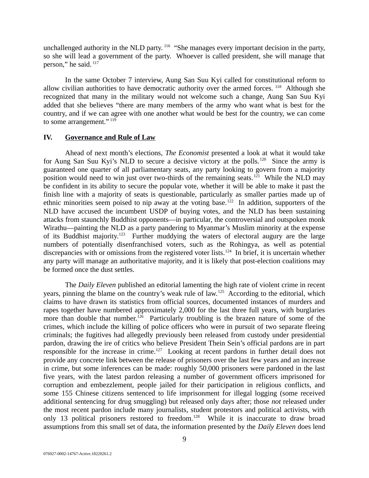unchallenged authority in the NLD party.<sup>116</sup> "She manages every important decision in the party, so she will lead a government of the party. Whoever is called president, she will manage that person," he said. <sup>117</sup>

In the same October 7 interview, Aung San Suu Kyi called for constitutional reform to allow civilian authorities to have democratic authority over the armed forces.  $^{118}$  Although she recognized that many in the military would not welcome such a change, Aung San Suu Kyi added that she believes "there are many members of the army who want what is best for the country, and if we can agree with one another what would be best for the country, we can come to some arrangement." 119

#### <span id="page-8-0"></span>**IV. Governance and Rule of Law**

Ahead of next month's elections, *The Economist* presented a look at what it would take for Aung San Suu Kyi's NLD to secure a decisive victory at the polls.<sup>120</sup> Since the army is guaranteed one quarter of all parliamentary seats, any party looking to govern from a majority position would need to win just over two-thirds of the remaining seats.<sup>121</sup> While the NLD may be confident in its ability to secure the popular vote, whether it will be able to make it past the finish line with a majority of seats is questionable, particularly as smaller parties made up of ethnic minorities seem poised to nip away at the voting base.<sup>122</sup> In addition, supporters of the NLD have accused the incumbent USDP of buying votes, and the NLD has been sustaining attacks from staunchly Buddhist opponents—in particular, the controversial and outspoken monk Wirathu—painting the NLD as a party pandering to Myanmar's Muslim minority at the expense of its Buddhist majority.<sup>123</sup> Further muddying the waters of electoral augury are the large numbers of potentially disenfranchised voters, such as the Rohingya, as well as potential discrepancies with or omissions from the registered voter lists.<sup>124</sup> In brief, it is uncertain whether any party will manage an authoritative majority, and it is likely that post-election coalitions may be formed once the dust settles.

The *Daily Eleven* published an editorial lamenting the high rate of violent crime in recent years, pinning the blame on the country's weak rule of law.<sup>125</sup> According to the editorial, which claims to have drawn its statistics from official sources, documented instances of murders and rapes together have numbered approximately 2,000 for the last three full years, with burglaries more than double that number.<sup>126</sup> Particularly troubling is the brazen nature of some of the crimes, which include the killing of police officers who were in pursuit of two separate fleeing criminals; the fugitives had allegedly previously been released from custody under presidential pardon, drawing the ire of critics who believe President Thein Sein's official pardons are in part responsible for the increase in crime.<sup>127</sup> Looking at recent pardons in further detail does not provide any concrete link between the release of prisoners over the last few years and an increase in crime, but some inferences can be made: roughly 50,000 prisoners were pardoned in the last five years, with the latest pardon releasing a number of government officers imprisoned for corruption and embezzlement, people jailed for their participation in religious conflicts, and some 155 Chinese citizens sentenced to life imprisonment for illegal logging (some received additional sentencing for drug smuggling) but released only days after; those *not* released under the most recent pardon include many journalists, student protestors and political activists, with only 13 political prisoners restored to freedom.<sup>128</sup> While it is inaccurate to draw broad assumptions from this small set of data, the information presented by the *Daily Eleven* does lend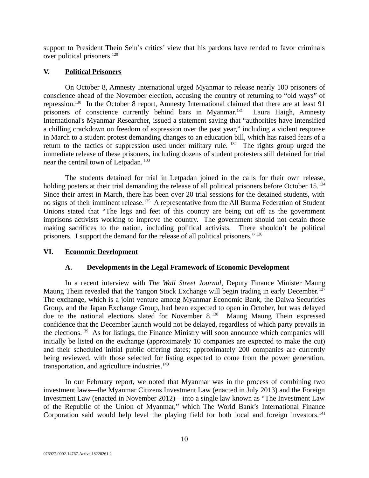support to President Thein Sein's critics' view that his pardons have tended to favor criminals over political prisoners.<sup>129</sup>

## <span id="page-9-2"></span>**V. Political Prisoners**

On October 8, Amnesty International urged Myanmar to release nearly 100 prisoners of conscience ahead of the November election, accusing the country of returning to "old ways" of repression.<sup>130</sup> In the October 8 report, Amnesty International claimed that there are at least 91 prisoners of conscience currently behind bars in Myanmar.<sup>131</sup> Laura Haigh, Amnesty International's Myanmar Researcher, issued a statement saying that "authorities have intensified a chilling crackdown on freedom of expression over the past year," including a violent response in March to a student protest demanding changes to an education bill, which has raised fears of a return to the tactics of suppression used under military rule. <sup>132</sup> The rights group urged the immediate release of these prisoners, including dozens of student protesters still detained for trial near the central town of Letpadan.<sup>133</sup>

The students detained for trial in Letpadan joined in the calls for their own release, holding posters at their trial demanding the release of all political prisoners before October 15.<sup>134</sup> Since their arrest in March, there has been over 20 trial sessions for the detained students, with no signs of their imminent release.<sup>135</sup> A representative from the All Burma Federation of Student Unions stated that "The legs and feet of this country are being cut off as the government imprisons activists working to improve the country. The government should not detain those making sacrifices to the nation, including political activists. There shouldn't be political prisoners. I support the demand for the release of all political prisoners." <sup>136</sup>

## **VI. Economic Development**

## <span id="page-9-1"></span><span id="page-9-0"></span>**A. Developments in the Legal Framework of Economic Development**

In a recent interview with *The Wall Street Journal*, Deputy Finance Minister Maung Maung Thein revealed that the Yangon Stock Exchange will begin trading in early December.<sup>137</sup> The exchange, which is a joint venture among Myanmar Economic Bank, the Daiwa Securities Group, and the Japan Exchange Group, had been expected to open in October, but was delayed due to the national elections slated for November  $8.^{138}$  Maung Maung Thein expressed confidence that the December launch would not be delayed, regardless of which party prevails in the elections.<sup>139</sup> As for listings, the Finance Ministry will soon announce which companies will initially be listed on the exchange (approximately 10 companies are expected to make the cut) and their scheduled initial public offering dates; approximately 200 companies are currently being reviewed, with those selected for listing expected to come from the power generation, transportation, and agriculture industries.<sup>140</sup>

In our February report, we noted that Myanmar was in the process of combining two investment laws—the Myanmar Citizens Investment Law (enacted in July 2013) and the Foreign Investment Law (enacted in November 2012)—into a single law known as "The Investment Law of the Republic of the Union of Myanmar," which The World Bank's International Finance Corporation said would help level the playing field for both local and foreign investors.<sup>141</sup>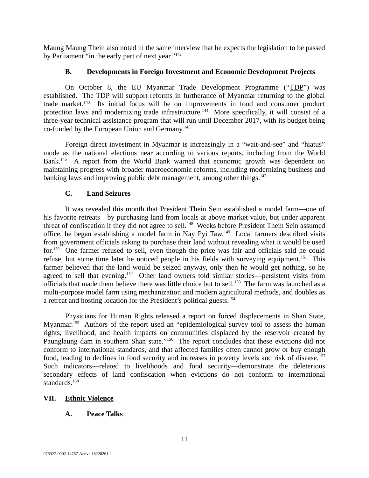Maung Maung Thein also noted in the same interview that he expects the legislation to be passed by Parliament "in the early part of next year."<sup>142</sup>

# <span id="page-10-3"></span>**B. Developments in Foreign Investment and Economic Development Projects**

On October 8, the EU Myanmar Trade Development Programme ("TDP") was established. The TDP will support reforms in furtherance of Myanmar returning to the global trade market.<sup>143</sup> Its initial focus will be on improvements in food and consumer product protection laws and modernizing trade infrastructure.<sup>144</sup> More specifically, it will consist of a three-year technical assistance program that will run until December 2017, with its budget being co-funded by the European Union and Germany.<sup>145</sup>

Foreign direct investment in Myanmar is increasingly in a "wait-and-see" and "hiatus" mode as the national elections near according to various reports, including from the World Bank.<sup>146</sup> A report from the World Bank warned that economic growth was dependent on maintaining progress with broader macroeconomic reforms, including modernizing business and banking laws and improving public debt management, among other things.<sup>147</sup>

# <span id="page-10-2"></span>**C. Land Seizures**

It was revealed this month that President Thein Sein established a model farm—one of his favorite retreats—by purchasing land from locals at above market value, but under apparent threat of confiscation if they did not agree to sell.<sup>148</sup> Weeks before President Thein Sein assumed office, he began establishing a model farm in Nay Pyi Taw.<sup>149</sup> Local farmers described visits from government officials asking to purchase their land without revealing what it would be used for.<sup>150</sup> One farmer refused to sell, even though the price was fair and officials said he could refuse, but some time later he noticed people in his fields with surveying equipment.<sup>151</sup> This farmer believed that the land would be seized anyway, only then he would get nothing, so he agreed to sell that evening.<sup>152</sup> Other land owners told similar stories—persistent visits from officials that made them believe there was little choice but to sell.<sup>153</sup> The farm was launched as a multi-purpose model farm using mechanization and modern agricultural methods, and doubles as a retreat and hosting location for the President's political guests.<sup>154</sup>

Physicians for Human Rights released a report on forced displacements in Shan State, Myanmar.<sup>155</sup> Authors of the report used an "epidemiological survey tool to assess the human rights, livelihood, and health impacts on communities displaced by the reservoir created by Paunglaung dam in southern Shan state."<sup>156</sup> The report concludes that these evictions did not conform to international standards, and that affected families often cannot grow or buy enough food, leading to declines in food security and increases in poverty levels and risk of disease.<sup>157</sup> Such indicators—related to livelihoods and food security—demonstrate the deleterious secondary effects of land confiscation when evictions do not conform to international standards.<sup>158</sup>

## **VII. Ethnic Violence**

# <span id="page-10-1"></span><span id="page-10-0"></span>**A. Peace Talks**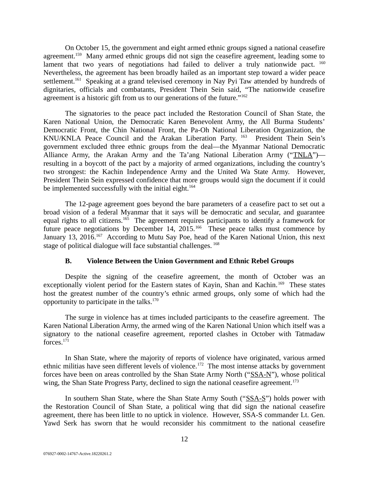On October 15, the government and eight armed ethnic groups signed a national ceasefire agreement.<sup>159</sup> Many armed ethnic groups did not sign the ceasefire agreement, leading some to lament that two years of negotiations had failed to deliver a truly nationwide pact.  $160$ Nevertheless, the agreement has been broadly hailed as an important step toward a wider peace settlement.<sup>161</sup> Speaking at a grand televised ceremony in Nay Pyi Taw attended by hundreds of dignitaries, officials and combatants, President Thein Sein said, "The nationwide ceasefire agreement is a historic gift from us to our generations of the future. $162$ 

The signatories to the peace pact included the Restoration Council of Shan State, the Karen National Union, the Democratic Karen Benevolent Army, the All Burma Students' Democratic Front, the Chin National Front, the Pa-Oh National Liberation Organization, the KNU/KNLA Peace Council and the Arakan Liberation Party. <sup>163</sup> President Thein Sein's government excluded three ethnic groups from the deal—the Myanmar National Democratic Alliance Army, the Arakan Army and the Ta'ang National Liberation Army ("TNLA")resulting in a boycott of the pact by a majority of armed organizations, including the country's two strongest: the Kachin Independence Army and the United Wa State Army. However, President Thein Sein expressed confidence that more groups would sign the document if it could be implemented successfully with the initial eight.<sup>164</sup>

The 12-page agreement goes beyond the bare parameters of a ceasefire pact to set out a broad vision of a federal Myanmar that it says will be democratic and secular, and guarantee equal rights to all citizens.<sup>165</sup> The agreement requires participants to identify a framework for future peace negotiations by December 14, 2015.<sup>166</sup> These peace talks must commence by January 13, 2016.<sup>167</sup> According to Mutu Say Poe, head of the Karen National Union, this next stage of political dialogue will face substantial challenges.<sup>168</sup>

#### <span id="page-11-0"></span>**B. Violence Between the Union Government and Ethnic Rebel Groups**

Despite the signing of the ceasefire agreement, the month of October was an exceptionally violent period for the Eastern states of Kayin, Shan and Kachin.<sup>169</sup> These states host the greatest number of the country's ethnic armed groups, only some of which had the opportunity to participate in the talks. $170$ 

The surge in violence has at times included participants to the ceasefire agreement. The Karen National Liberation Army, the armed wing of the Karen National Union which itself was a signatory to the national ceasefire agreement, reported clashes in October with Tatmadaw forces.<sup>171</sup>

In Shan State, where the majority of reports of violence have originated, various armed ethnic militias have seen different levels of violence.<sup>172</sup> The most intense attacks by government forces have been on areas controlled by the Shan State Army North ("SSA-N"), whose political wing, the Shan State Progress Party, declined to sign the national ceasefire agreement.<sup>173</sup>

In southern Shan State, where the Shan State Army South ("SSA-S") holds power with the Restoration Council of Shan State, a political wing that did sign the national ceasefire agreement, there has been little to no uptick in violence. However, SSA-S commander Lt. Gen. Yawd Serk has sworn that he would reconsider his commitment to the national ceasefire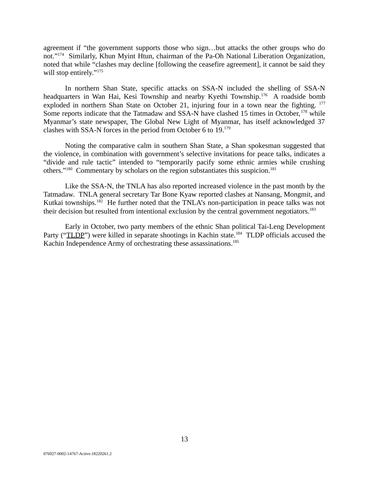agreement if "the government supports those who sign…but attacks the other groups who do not."<sup>174</sup> Similarly, Khun Myint Htun, chairman of the Pa-Oh National Liberation Organization, noted that while "clashes may decline [following the ceasefire agreement], it cannot be said they will stop entirely."<sup>175</sup>

In northern Shan State, specific attacks on SSA-N included the shelling of SSA-N headquarters in Wan Hai, Kesi Township and nearby Kyethi Township.<sup>176</sup> A roadside bomb exploded in northern Shan State on October 21, injuring four in a town near the fighting.  $177$ Some reports indicate that the Tatmadaw and SSA-N have clashed 15 times in October, <sup>178</sup> while Myanmar's state newspaper, The Global New Light of Myanmar, has itself acknowledged 37 clashes with SSA-N forces in the period from October 6 to 19.<sup>179</sup>

Noting the comparative calm in southern Shan State, a Shan spokesman suggested that the violence, in combination with government's selective invitations for peace talks, indicates a "divide and rule tactic" intended to "temporarily pacify some ethnic armies while crushing others."<sup>180</sup> Commentary by scholars on the region substantiates this suspicion.<sup>181</sup>

Like the SSA-N, the TNLA has also reported increased violence in the past month by the Tatmadaw. TNLA general secretary Tar Bone Kyaw reported clashes at Nansang, Mongmit, and Kutkai townships.<sup>182</sup> He further noted that the TNLA's non-participation in peace talks was not their decision but resulted from intentional exclusion by the central government negotiators.<sup>183</sup>

Early in October, two party members of the ethnic Shan political Tai-Leng Development Party ("TLDP") were killed in separate shootings in Kachin state.<sup>184</sup> TLDP officials accused the Kachin Independence Army of orchestrating these assassinations.<sup>185</sup>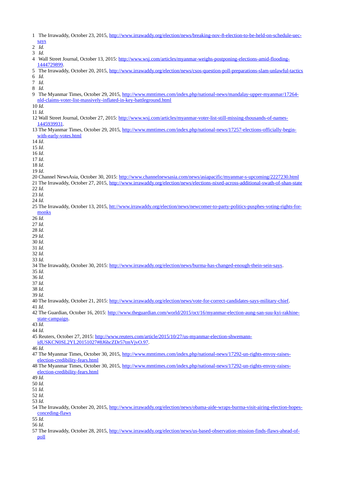- 1 The Irrawaddy, October 23, 2015, [http://www.irrawaddy.org/election/news/breaking-nov-8-election-to-be-held-on-schedule-uec](http://www.irrawaddy.org/election/news/breaking-nov-8-election-to-be-held-on-schedule-uec-says)[says](http://www.irrawaddy.org/election/news/breaking-nov-8-election-to-be-held-on-schedule-uec-says)
- 2 *Id.*
- 3 *Id.*
- 4 Wall Street Journal, October 13, 2015: [http://www.wsj.com/articles/myanmar-weighs-postponing-elections-amid-flooding-](http://www.wsj.com/articles/myanmar-weighs-postponing-elections-amid-flooding-1444729899)[1444729899.](http://www.wsj.com/articles/myanmar-weighs-postponing-elections-amid-flooding-1444729899)
- 5 The Irrawaddy, October 20, 2015,<http://www.irrawaddy.org/election/news/csos-question-poll-preparations-slam-unlawful-tactics> 6 *Id.*
- 7 *Id.*
- 8 *Id.*
- 9 The Myanmar Times, October 29, 2015, [http://www.mmtimes.com/index.php/national-news/mandalay-upper-myanmar/17264](http://www.mmtimes.com/index.php/national-news/mandalay-upper-myanmar/17264-nld-claims-voter-list-massively-inflated-in-key-battleground.html) [nld-claims-voter-list-massively-inflated-in-key-battleground.html](http://www.mmtimes.com/index.php/national-news/mandalay-upper-myanmar/17264-nld-claims-voter-list-massively-inflated-in-key-battleground.html)
- 10 *Id.*
- 11 *Id.*
- 12 Wall Street Journal, October 27, 2015: [http://www.wsj.com/articles/myanmar-voter-list-still-missing-thousands-of-names-](http://www.wsj.com/articles/myanmar-voter-list-still-missing-thousands-of-names-1445939931)[1445939931.](http://www.wsj.com/articles/myanmar-voter-list-still-missing-thousands-of-names-1445939931)
- 13 The Myanmar Times, October 29, 2015, [http://www.mmtimes.com/index.php/national-news/17257-elections-officially-begin](http://www.mmtimes.com/index.php/national-news/17257-elections-officially-begin-with-early-votes.html)[with-early-votes.html](http://www.mmtimes.com/index.php/national-news/17257-elections-officially-begin-with-early-votes.html)
- 14 *Id*.
- 15 *Id*.
- 16 *Id*.
- 17 *Id*. 18 *Id.*
- 19 *Id*.
- 
- 20 Channel NewsAsia, October 30, 2015:<http://www.channelnewsasia.com/news/asiapacific/myanmar-s-upcoming/2227230.html> 21 The Irrawaddy, October 27, 2015,<http://www.irrawaddy.org/election/news/elections-nixed-across-additional-swath-of-shan-state> 22 *Id.*
- 23 *Id.*
- 24 *Id.*

#### 25 The Irrawaddy, October 13, 2015, htt://www.irrawaddy.org/election/news/newcomer-to-party-politics-pusphes-voting-rights-for[monks](http://www.irrawaddy.org/election/news/newcomer-to-party-politics-pushes-voting-rights-for-monks)

- 26 *Id.*
- 27 *Id.*
- 28 *Id.* 29 *Id.*
- 30 *Id.*
- 31 *Id.*
- 32 *Id.*
- 33 *Id.*
- 34 The Irrawaddy, October 30, 2015: [http://www.irrawaddy.org/election/news/burma-has-changed-enough-thein-sein-says.](http://www.irrawaddy.org/election/news/burma-has-changed-enough-thein-sein-says)
- 35 *Id.*
- 36 *Id.*
- 37 *Id.*
- 38 *Id.* 39 *Id.*
- 
- 40 The Irrawaddy, October 21, 2015: [http://www.irrawaddy.org/election/news/vote-for-correct-candidates-says-military-chief.](http://www.irrawaddy.org/election/news/vote-for-correct-candidates-says-military-chief)
- 41 *Id.*
- 42 The Guardian, October 16, 2015: [http://www.theguardian.com/world/2015/oct/16/myanmar-election-aung-san-suu-kyi-rakhine](http://www.theguardian.com/world/2015/oct/16/myanmar-election-aung-san-suu-kyi-rakhine-state-campaign)[state-campaign.](http://www.theguardian.com/world/2015/oct/16/myanmar-election-aung-san-suu-kyi-rakhine-state-campaign)
- 43 *Id.*
- 44 *Id.*
- 45 Reuters, October 27, 2015: [http://www.reuters.com/article/2015/10/27/us-myanmar-election-shwemann-](http://www.reuters.com/article/2015/10/27/us-myanmar-election-shwemann-idUSKCN0SL2YL20151027#8J6hcZDr57tmVjvO.97)
- [idUSKCN0SL2YL20151027#8J6hcZDr57tmVjvO.97.](http://www.reuters.com/article/2015/10/27/us-myanmar-election-shwemann-idUSKCN0SL2YL20151027#8J6hcZDr57tmVjvO.97)
- 46 *Id.*
- 47 The Myanmar Times, October 30, 2015, [http://www.mmtimes.com/index.php/national-news/17292-un-rights-envoy-raises](http://www.mmtimes.com/index.php/national-news/17292-un-rights-envoy-raises-election-credibility-fears.html)[election-credibility-fears.html](http://www.mmtimes.com/index.php/national-news/17292-un-rights-envoy-raises-election-credibility-fears.html)
- 48 The Myanmar Times, October 30, 2015, [http://www.mmtimes.com/index.php/national-news/17292-un-rights-envoy-raises](http://www.mmtimes.com/index.php/national-news/17292-un-rights-envoy-raises-election-credibility-fears.html)[election-credibility-fears.html](http://www.mmtimes.com/index.php/national-news/17292-un-rights-envoy-raises-election-credibility-fears.html)

- 50 *Id.*
- 51 *Id.* 52 *Id.*
- 53 *Id.*
- 54 The Irrawaddy, October 20, 2015, [http://www.irrawaddy.org/election/news/obama-aide-wraps-burma-visit-airing-election-hopes](http://www.irrawaddy.org/election/news/obama-aide-wraps-burma-visit-airing-election-hopes-conceding-flaws)[conceding-flaws](http://www.irrawaddy.org/election/news/obama-aide-wraps-burma-visit-airing-election-hopes-conceding-flaws)
- 55 *Id.*
- 56 *Id.*
- 57 The Irrawaddy, October 28, 2015, [http://www.irrawaddy.org/election/news/us-based-observation-mission-finds-flaws-ahead-of](http://www.irrawaddy.org/election/news/us-based-observation-mission-finds-flaws-ahead-of-poll)[poll](http://www.irrawaddy.org/election/news/us-based-observation-mission-finds-flaws-ahead-of-poll)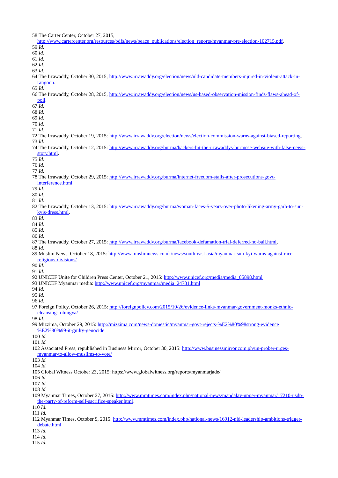58 The Carter Center, October 27, 2015, [http://www.cartercenter.org/resources/pdfs/news/peace\\_publications/election\\_reports/myanmar-pre-election-102715.pdf.](http://www.cartercenter.org/resources/pdfs/news/peace_publications/election_reports/myanmar-pre-election-102715.pdf) 59 *Id.* 60 *Id.* 61 *Id.* 62 *Id.* 63 *Id.* 64 The Irrawaddy, October 30, 2015, [http://www.irrawaddy.org/election/news/nld-candidate-members-injured-in-violent-attack-in](http://www.irrawaddy.org/election/news/nld-candidate-members-injured-in-violent-attack-in-rangoon)[rangoon.](http://www.irrawaddy.org/election/news/nld-candidate-members-injured-in-violent-attack-in-rangoon) 65 *Id.* 66 The Irrawaddy, October 28, 2015, [http://www.irrawaddy.org/election/news/us-based-observation-mission-finds-flaws-ahead-of](http://www.irrawaddy.org/election/news/us-based-observation-mission-finds-flaws-ahead-of-poll)[poll.](http://www.irrawaddy.org/election/news/us-based-observation-mission-finds-flaws-ahead-of-poll) 67 *Id.* 68 *Id.* 69 *Id.* 70 *Id.* 71 *Id.* 72 The Irrawaddy, October 19, 2015: [http://www.irrawaddy.org/election/news/election-commission-warns-against-biased-reporting.](http://www.irrawaddy.org/election/news/election-commission-warns-against-biased-reporting) 73 *Id.* 74 The Irrawaddy, October 12, 2015: [http://www.irrawaddy.org/burma/hackers-hit-the-irrawaddys-burmese-website-with-false-news](http://www.irrawaddy.org/burma/hackers-hit-the-irrawaddys-burmese-website-with-false-news-story.html)[story.html.](http://www.irrawaddy.org/burma/hackers-hit-the-irrawaddys-burmese-website-with-false-news-story.html) 75 *Id.* 76 *Id.* 77 *Id.* 78 The Irrawaddy, October 29, 2015: [http://www.irrawaddy.org/burma/internet-freedom-stalls-after-prosecutions-govt](http://www.irrawaddy.org/burma/internet-freedom-stalls-after-prosecutions-govt-interference.html)[interference.html.](http://www.irrawaddy.org/burma/internet-freedom-stalls-after-prosecutions-govt-interference.html) 79 *Id.* 80 *Id.* 81 *Id.* 82 The Irrawaddy, October 13, 2015: [http://www.irrawaddy.org/burma/woman-faces-5-years-over-photo-likening-army-garb-to-suu](http://www.irrawaddy.org/burma/woman-faces-5-years-over-photo-likening-army-garb-to-suu-kyis-dress.html)[kyis-dress.html.](http://www.irrawaddy.org/burma/woman-faces-5-years-over-photo-likening-army-garb-to-suu-kyis-dress.html) 83 *Id.* 84 *Id.* 85 *Id.* 86 *Id.* 87 The Irrawaddy, October 27, 2015: [http://www.irrawaddy.org/burma/facebook-defamation-trial-deferred-no-bail.html.](http://www.irrawaddy.org/burma/facebook-defamation-trial-deferred-no-bail.html) 88 *Id.* 89 Muslim News, October 18, 2015: [http://www.muslimnews.co.uk/news/south-east-asia/myanmar-suu-kyi-warns-against-race](http://www.muslimnews.co.uk/news/south-east-asia/myanmar-suu-kyi-warns-against-race-religious-divisions/)[religious-divisions/](http://www.muslimnews.co.uk/news/south-east-asia/myanmar-suu-kyi-warns-against-race-religious-divisions/) 90 *Id.* 91 *Id.* 92 UNICEF Unite for Children Press Center, October 21, 2015: [http://www.unicef.org/media/media\\_85898.html](http://www.unicef.org/media/media_85898.html) 93 UNICEF Myanmar media: [http://www.unicef.org/myanmar/media\\_24781.html](http://www.unicef.org/myanmar/media_24781.html) 94 *Id.* 95 *Id.* 96 *Id.* 97 Foreign Policy, October 26, 2015: [http://foreignpolicy.com/2015/10/26/evidence-links-myanmar-government-monks-ethnic](http://foreignpolicy.com/2015/10/26/evidence-links-myanmar-government-monks-ethnic-cleansing-rohingya/)[cleansing-rohingya/](http://foreignpolicy.com/2015/10/26/evidence-links-myanmar-government-monks-ethnic-cleansing-rohingya/) 98 *Id.* 99 Mizzima, October 29, 2015: [http://mizzima.com/news-domestic/myanmar-govt-rejects-%E2%80%98strong-evidence](http://mizzima.com/news-domestic/myanmar-govt-rejects-%E2%80%98strong-evidence%E2%80%99-it-guilty-genocide) [%E2%80%99-it-guilty-genocide](http://mizzima.com/news-domestic/myanmar-govt-rejects-%E2%80%98strong-evidence%E2%80%99-it-guilty-genocide) 100 *Id.* 101 *Id.* 102 Associated Press, republished in Business Mirror, October 30, 2015: [http://www.businessmirror.com.ph/un-prober-urges](http://www.businessmirror.com.ph/un-prober-urges-myanmar-to-allow-muslims-to-vote/)[myanmar-to-allow-muslims-to-vote/](http://www.businessmirror.com.ph/un-prober-urges-myanmar-to-allow-muslims-to-vote/) 103 *Id.* 104 *Id.* 105 Global Witness October 23, 2015: https://www.globalwitness.org/reports/myanmarjade/ 106 *Id* 107 *Id* 108 *Id* 109 Myanmar Times, October 27, 2015: [http://www.mmtimes.com/index.php/national-news/mandalay-upper-myanmar/17210-usdp](http://www.mmtimes.com/index.php/national-news/mandalay-upper-myanmar/17210-usdp-the-party-of-reform-self-sacrifice-speaker.html)[the-party-of-reform-self-sacrifice-speaker.html.](http://www.mmtimes.com/index.php/national-news/mandalay-upper-myanmar/17210-usdp-the-party-of-reform-self-sacrifice-speaker.html) 110 *Id.*  111 *Id.*  112 Myanmar Times, October 9, 2015: [http://www.mmtimes.com/index.php/national-news/16912-nld-leadership-ambitions-trigger](http://www.mmtimes.com/index.php/national-news/16912-nld-leadership-ambitions-trigger-debate.html)[debate.html.](http://www.mmtimes.com/index.php/national-news/16912-nld-leadership-ambitions-trigger-debate.html) 113 *Id.*  114 *Id.*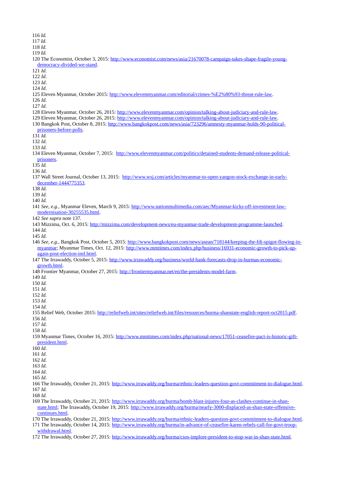116 *Id.* 

117 *Id.* 

118 *Id.* 

119 *Id.* 

- 120 The Economist, October 3, 2015: [http://www.economist.com/news/asia/21670078-campaign-takes-shape-fragile-young](http://www.economist.com/news/asia/21670078-campaign-takes-shape-fragile-young-democracy-divided-we-stand)[democracy-divided-we-stand.](http://www.economist.com/news/asia/21670078-campaign-takes-shape-fragile-young-democracy-divided-we-stand)
- 121 *Id*.
- 122 *Id*.
- 123 *Id*.
- 124 *Id*.
- 125 Eleven Myanmar, October 2015: [http://www.elevenmyanmar.com/editorial/crimes-%E2%80%93-threat-rule-law.](http://www.elevenmyanmar.com/editorial/crimes-%E2%80%93-threat-rule-law)
- 126 *Id*.
- 127 *Id*.
- 128 Eleven Myanmar, October 26, 2015: [http://www.elevenmyanmar.com/opinion/talking-about-judiciary-and-rule-law.](http://www.elevenmyanmar.com/opinion/talking-about-judiciary-and-rule-law)
- 129 Eleven Myanmar, October 26, 2015: [http://www.elevenmyanmar.com/opinion/talking-about-judiciary-and-rule-law.](http://www.elevenmyanmar.com/opinion/talking-about-judiciary-and-rule-law)
- 130 Bangkok Post, October 8, 2015: [http://www.bangkokpost.com/news/asia/723296/amnesty-myanmar-holds-90-political](http://www.bangkokpost.com/news/asia/723296/amnesty-myanmar-holds-90-political-prisoners-before-polls)[prisoners-before-polls.](http://www.bangkokpost.com/news/asia/723296/amnesty-myanmar-holds-90-political-prisoners-before-polls)
- 131 *Id*.
- 132 *Id*.

133 *Id*.

- 134 Eleven Myanmar, October 7, 2015: [http://www.elevenmyanmar.com/politics/detained-students-demand-release-political](http://www.elevenmyanmar.com/politics/detained-students-demand-release-political-prisoners)[prisoners.](http://www.elevenmyanmar.com/politics/detained-students-demand-release-political-prisoners)
- 135 *Id.*
- 136 *Id.*
- 137 Wall Street Journal, October 13, 2015: [http://www.wsj.com/articles/myanmar-to-open-yangon-stock-exchange-in-early](http://www.wsj.com/articles/myanmar-to-open-yangon-stock-exchange-in-early-december-1444775353)[december-1444775353.](http://www.wsj.com/articles/myanmar-to-open-yangon-stock-exchange-in-early-december-1444775353)
- 138 *Id.*
- 139 *Id.*

140 *Id.* 

- 141 *See, e.g.*, Myanmar Eleven, March 9, 2015: [http://www.nationmultimedia.com/aec/Myanmar-kicks-off-investment-law](http://www.nationmultimedia.com/aec/Myanmar-kicks-off-investment-law-modernisation-30255535.html)[modernisation-30255535.html.](http://www.nationmultimedia.com/aec/Myanmar-kicks-off-investment-law-modernisation-30255535.html)
- 142 *See supra* note 137.
- 143 Mizzima, Oct. 6, 2015: [http://mizzima.com/development-news/eu-myanmar-trade-development-programme-launched.](http://mizzima.com/development-news/eu-myanmar-trade-development-programme-launched) 144 *Id.*
- 145 *Id.*
- 146 *See, e.g.*, Bangkok Post, October 5, 2015: [http://www.bangkokpost.com/news/asean/718144/keeping-the-fdi-spigot-flowing-in](http://www.bangkokpost.com/news/asean/718144/keeping-the-fdi-spigot-flowing-in-myanmar)[myanmar;](http://www.bangkokpost.com/news/asean/718144/keeping-the-fdi-spigot-flowing-in-myanmar) Myanmar Times, Oct. 12, 2015: [http://www.mmtimes.com/index.php/business/16931-economic-growth-to-pick-up](http://www.mmtimes.com/index.php/business/16931-economic-growth-to-pick-up-again-post-election-imf.html)[again-post-election-imf.html.](http://www.mmtimes.com/index.php/business/16931-economic-growth-to-pick-up-again-post-election-imf.html)
- 147 The Irrawaddy, October 5, 2015: [http://www.irrawaddy.org/business/world-bank-forecasts-drop-in-burmas-economic](http://www.irrawaddy.org/business/world-bank-forecasts-drop-in-burmas-economic-growth.html)[growth.html.](http://www.irrawaddy.org/business/world-bank-forecasts-drop-in-burmas-economic-growth.html)
- 148 Frontier Myanmar, October 27, 2015: [http://frontiermyanmar.net/en/the-presidents-model-farm.](http://frontiermyanmar.net/en/the-presidents-model-farm)
- 149 *Id.*
- 150 *Id.*
- 151 *Id.*
- 152 *Id.*
- 153 *Id.*

- 155 Relief Web, October 2015: [http://reliefweb.int/sites/reliefweb.int/files/resources/burma-shanstate-english-report-oct2015.pdf.](http://reliefweb.int/sites/reliefweb.int/files/resources/burma-shanstate-english-report-oct2015.pdf) 156 *Id.*
- 157 *Id.*
- 158 *Id.*
- 159 Myanmar Times, October 16, 2015: [http://www.mmtimes.com/index.php/national-news/17051-ceasefire-pact-is-historic-gift](http://www.mmtimes.com/index.php/national-news/17051-ceasefire-pact-is-historic-gift-president.html)[president.html.](http://www.mmtimes.com/index.php/national-news/17051-ceasefire-pact-is-historic-gift-president.html)
- 160 *Id*.
- 161 *Id*.
- 162 *Id*.
- 163 *Id*. 164 *Id*.
- 165 *Id*.
- 
- 166 The Irrawaddy, October 21, 2015: [http://www.irrawaddy.org/burma/ethnic-leaders-question-govt-commitment-to-dialogue.html.](http://www.irrawaddy.org/burma/ethnic-leaders-question-govt-commitment-to-dialogue.html) 167 *Id*.
- 168 *Id*.
- 169 The Irrawaddy, October 21, 2015: [http://www.irrawaddy.org/burma/bomb-blast-injures-four-as-clashes-continue-in-shan](http://www.irrawaddy.org/burma/bomb-blast-injures-four-as-clashes-continue-in-shan-state.html)[state.html;](http://www.irrawaddy.org/burma/bomb-blast-injures-four-as-clashes-continue-in-shan-state.html) The Irrawaddy, October 19, 2015: [http://www.irrawaddy.org/burma/nearly-3000-displaced-as-shan-state-offensive](http://www.irrawaddy.org/burma/nearly-3000-displaced-as-shan-state-offensive-continues.html)[continues.html.](http://www.irrawaddy.org/burma/nearly-3000-displaced-as-shan-state-offensive-continues.html)
- 170 The Irrawaddy, October 21, 2015: [http://www.irrawaddy.org/burma/ethnic-leaders-question-govt-commitment-to-dialogue.html.](http://www.irrawaddy.org/burma/ethnic-leaders-question-govt-commitment-to-dialogue.html)
- 171 The Irrawaddy, October 14, 2015: [http://www.irrawaddy.org/burma/in-advance-of-ceasefire-karen-rebels-call-for-govt-troop](http://www.irrawaddy.org/burma/in-advance-of-ceasefire-karen-rebels-call-for-govt-troop-withdrawal.html)[withdrawal.html.](http://www.irrawaddy.org/burma/in-advance-of-ceasefire-karen-rebels-call-for-govt-troop-withdrawal.html)
- 172 The Irrawaddy, October 27, 2015: [http://www.irrawaddy.org/burma/csos-implore-president-to-stop-war-in-shan-state.html.](http://www.irrawaddy.org/burma/csos-implore-president-to-stop-war-in-shan-state.html)